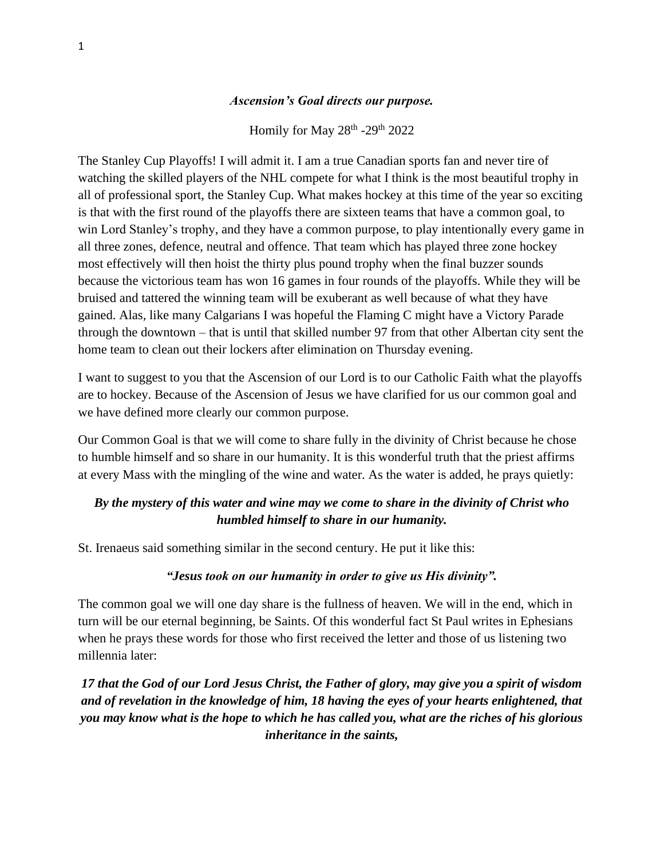### *Ascension's Goal directs our purpose.*

Homily for May  $28<sup>th</sup> - 29<sup>th</sup> 2022$ 

The Stanley Cup Playoffs! I will admit it. I am a true Canadian sports fan and never tire of watching the skilled players of the NHL compete for what I think is the most beautiful trophy in all of professional sport, the Stanley Cup. What makes hockey at this time of the year so exciting is that with the first round of the playoffs there are sixteen teams that have a common goal, to win Lord Stanley's trophy, and they have a common purpose, to play intentionally every game in all three zones, defence, neutral and offence. That team which has played three zone hockey most effectively will then hoist the thirty plus pound trophy when the final buzzer sounds because the victorious team has won 16 games in four rounds of the playoffs. While they will be bruised and tattered the winning team will be exuberant as well because of what they have gained. Alas, like many Calgarians I was hopeful the Flaming C might have a Victory Parade through the downtown – that is until that skilled number 97 from that other Albertan city sent the home team to clean out their lockers after elimination on Thursday evening.

I want to suggest to you that the Ascension of our Lord is to our Catholic Faith what the playoffs are to hockey. Because of the Ascension of Jesus we have clarified for us our common goal and we have defined more clearly our common purpose.

Our Common Goal is that we will come to share fully in the divinity of Christ because he chose to humble himself and so share in our humanity. It is this wonderful truth that the priest affirms at every Mass with the mingling of the wine and water. As the water is added, he prays quietly:

### *By the mystery of this water and wine may we come to share in the divinity of Christ who humbled himself to share in our humanity.*

St. Irenaeus said something similar in the second century. He put it like this:

#### *"Jesus took on our humanity in order to give us His divinity".*

The common goal we will one day share is the fullness of heaven. We will in the end, which in turn will be our eternal beginning, be Saints. Of this wonderful fact St Paul writes in Ephesians when he prays these words for those who first received the letter and those of us listening two millennia later:

*17 that the God of our Lord Jesus Christ, the Father of glory, may give you a spirit of wisdom and of revelation in the knowledge of him, 18 having the eyes of your hearts enlightened, that you may know what is the hope to which he has called you, what are the riches of his glorious inheritance in the saints,*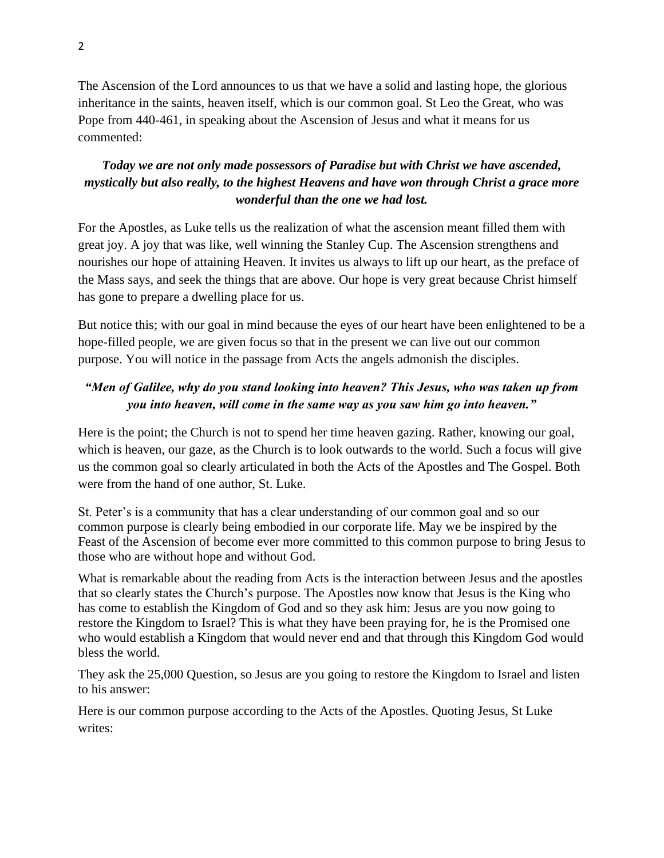The Ascension of the Lord announces to us that we have a solid and lasting hope, the glorious inheritance in the saints, heaven itself, which is our common goal. St Leo the Great, who was Pope from 440-461, in speaking about the Ascension of Jesus and what it means for us commented:

## *Today we are not only made possessors of Paradise but with Christ we have ascended, mystically but also really, to the highest Heavens and have won through Christ a grace more wonderful than the one we had lost.*

For the Apostles, as Luke tells us the realization of what the ascension meant filled them with great joy. A joy that was like, well winning the Stanley Cup. The Ascension strengthens and nourishes our hope of attaining Heaven. It invites us always to lift up our heart, as the preface of the Mass says, and seek the things that are above. Our hope is very great because Christ himself has gone to prepare a dwelling place for us.

But notice this; with our goal in mind because the eyes of our heart have been enlightened to be a hope-filled people, we are given focus so that in the present we can live out our common purpose. You will notice in the passage from Acts the angels admonish the disciples.

# *"Men of Galilee, why do you stand looking into heaven? This Jesus, who was taken up from you into heaven, will come in the same way as you saw him go into heaven."*

Here is the point; the Church is not to spend her time heaven gazing. Rather, knowing our goal, which is heaven, our gaze, as the Church is to look outwards to the world. Such a focus will give us the common goal so clearly articulated in both the Acts of the Apostles and The Gospel. Both were from the hand of one author, St. Luke.

St. Peter's is a community that has a clear understanding of our common goal and so our common purpose is clearly being embodied in our corporate life. May we be inspired by the Feast of the Ascension of become ever more committed to this common purpose to bring Jesus to those who are without hope and without God.

What is remarkable about the reading from Acts is the interaction between Jesus and the apostles that so clearly states the Church's purpose. The Apostles now know that Jesus is the King who has come to establish the Kingdom of God and so they ask him: Jesus are you now going to restore the Kingdom to Israel? This is what they have been praying for, he is the Promised one who would establish a Kingdom that would never end and that through this Kingdom God would bless the world.

They ask the 25,000 Question, so Jesus are you going to restore the Kingdom to Israel and listen to his answer:

Here is our common purpose according to the Acts of the Apostles. Quoting Jesus, St Luke writes: